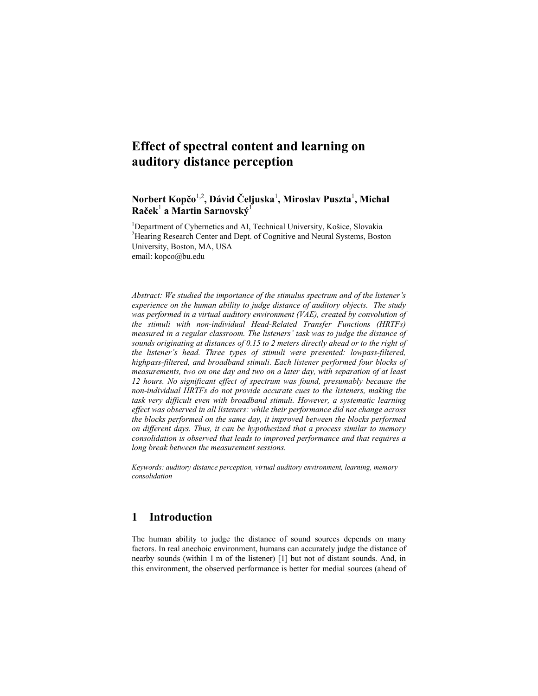# **Effect of spectral content and learning on auditory distance perception**

# **Norbert Kopčo**1,2**, Dávid Čeljuska**<sup>1</sup> **, Miroslav Puszta**<sup>1</sup> **, Michal Raček**<sup>1</sup>  **a Martin Sarnovský**<sup>1</sup>

<sup>1</sup>Department of Cybernetics and AI, Technical University, Košice, Slovakia <sup>2</sup>Hearing Research Center and Dept. of Cognitive and Neural Systems, Boston University, Boston, MA, USA email: kopco@bu.edu

*Abstract: We studied the importance of the stimulus spectrum and of the listener's experience on the human ability to judge distance of auditory objects. The study was performed in a virtual auditory environment (VAE), created by convolution of the stimuli with non-individual Head-Related Transfer Functions (HRTFs) measured in a regular classroom. The listeners' task was to judge the distance of sounds originating at distances of 0.15 to 2 meters directly ahead or to the right of the listener's head. Three types of stimuli were presented: lowpass-filtered, highpass-filtered, and broadband stimuli. Each listener performed four blocks of measurements, two on one day and two on a later day, with separation of at least 12 hours. No significant effect of spectrum was found, presumably because the non-individual HRTFs do not provide accurate cues to the listeners, making the task very difficult even with broadband stimuli. However, a systematic learning effect was observed in all listeners: while their performance did not change across the blocks performed on the same day, it improved between the blocks performed on different days. Thus, it can be hypothesized that a process similar to memory consolidation is observed that leads to improved performance and that requires a long break between the measurement sessions.* 

*Keywords: auditory distance perception, virtual auditory environment, learning, memory consolidation* 

## **1 Introduction**

The human ability to judge the distance of sound sources depends on many factors. In real anechoic environment, humans can accurately judge the distance of nearby sounds (within 1 m of the listener) [1] but not of distant sounds. And, in this environment, the observed performance is better for medial sources (ahead of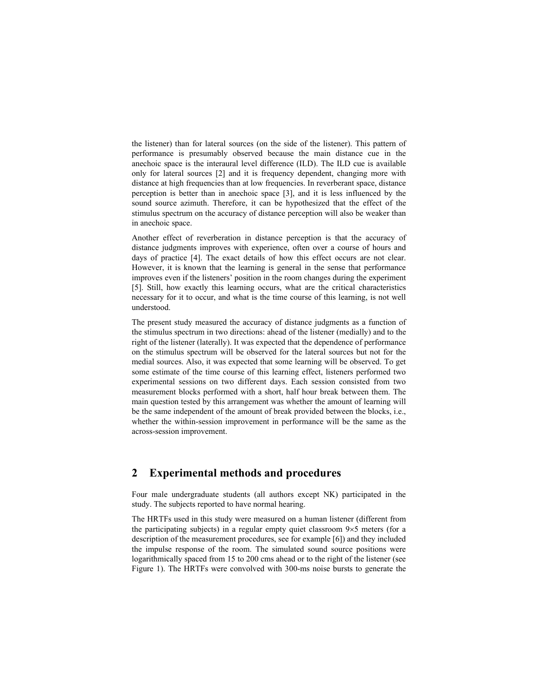the listener) than for lateral sources (on the side of the listener). This pattern of performance is presumably observed because the main distance cue in the anechoic space is the interaural level difference (ILD). The ILD cue is available only for lateral sources [2] and it is frequency dependent, changing more with distance at high frequencies than at low frequencies. In reverberant space, distance perception is better than in anechoic space [3], and it is less influenced by the sound source azimuth. Therefore, it can be hypothesized that the effect of the stimulus spectrum on the accuracy of distance perception will also be weaker than in anechoic space.

Another effect of reverberation in distance perception is that the accuracy of distance judgments improves with experience, often over a course of hours and days of practice [4]. The exact details of how this effect occurs are not clear. However, it is known that the learning is general in the sense that performance improves even if the listeners' position in the room changes during the experiment [5]. Still, how exactly this learning occurs, what are the critical characteristics necessary for it to occur, and what is the time course of this learning, is not well understood.

The present study measured the accuracy of distance judgments as a function of the stimulus spectrum in two directions: ahead of the listener (medially) and to the right of the listener (laterally). It was expected that the dependence of performance on the stimulus spectrum will be observed for the lateral sources but not for the medial sources. Also, it was expected that some learning will be observed. To get some estimate of the time course of this learning effect, listeners performed two experimental sessions on two different days. Each session consisted from two measurement blocks performed with a short, half hour break between them. The main question tested by this arrangement was whether the amount of learning will be the same independent of the amount of break provided between the blocks, i.e., whether the within-session improvement in performance will be the same as the across-session improvement.

#### **2 Experimental methods and procedures**

Four male undergraduate students (all authors except NK) participated in the study. The subjects reported to have normal hearing.

The HRTFs used in this study were measured on a human listener (different from the participating subjects) in a regular empty quiet classroom 9×5 meters (for a description of the measurement procedures, see for example [6]) and they included the impulse response of the room. The simulated sound source positions were logarithmically spaced from 15 to 200 cms ahead or to the right of the listener (see Figure 1). The HRTFs were convolved with 300-ms noise bursts to generate the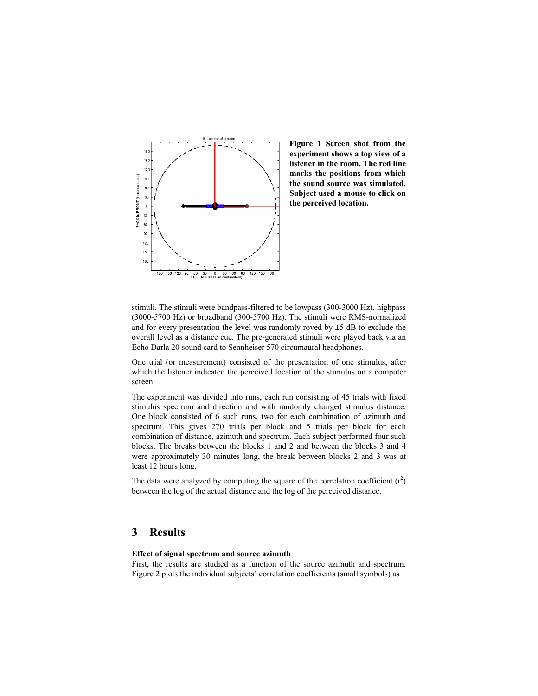

**Figure 1 Screen shot from the experiment shows a top view of a listener in the room. The red line marks the positions from which the sound source was simulated. Subject used a mouse to click on the perceived location.** 

stimuli. The stimuli were bandpass-filtered to be lowpass (300-3000 Hz), highpass (3000-5700 Hz) or broadband (300-5700 Hz). The stimuli were RMS-normalized and for every presentation the level was randomly roved by  $\pm$ 5 dB to exclude the overall level as a distance cue. The pre-generated stimuli were played back via an Echo Darla 20 sound card to Sennheiser 570 circumaural headphones.

One trial (or measurement) consisted of the presentation of one stimulus, after which the listener indicated the perceived location of the stimulus on a computer screen.

The experiment was divided into runs, each run consisting of 45 trials with fixed stimulus spectrum and direction and with randomly changed stimulus distance. One block consisted of 6 such runs, two for each combination of azimuth and spectrum. This gives 270 trials per block and 5 trials per block for each combination of distance, azimuth and spectrum. Each subject performed four such blocks. The breaks between the blocks 1 and 2 and between the blocks 3 and 4 were approximately 30 minutes long, the break between blocks 2 and 3 was at least 12 hours long.

The data were analyzed by computing the square of the correlation coefficient  $(r^2)$ between the log of the actual distance and the log of the perceived distance.

#### **3 Results**

#### **Effect of signal spectrum and source azimuth**

First, the results are studied as a function of the source azimuth and spectrum. Figure 2 plots the individual subjects' correlation coefficients (small symbols) as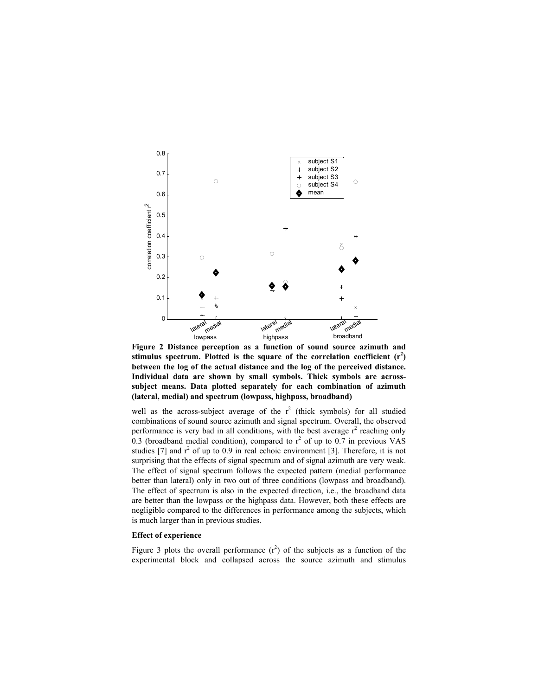

**Figure 2 Distance perception as a function of sound source azimuth and**  stimulus spectrum. Plotted is the square of the correlation coefficient  $(r^2)$ **between the log of the actual distance and the log of the perceived distance. Individual data are shown by small symbols. Thick symbols are acrosssubject means. Data plotted separately for each combination of azimuth (lateral, medial) and spectrum (lowpass, highpass, broadband)** 

well as the across-subject average of the  $r^2$  (thick symbols) for all studied combinations of sound source azimuth and signal spectrum. Overall, the observed performance is very bad in all conditions, with the best average  $r^2$  reaching only 0.3 (broadband medial condition), compared to  $r^2$  of up to 0.7 in previous VAS studies [7] and  $r^2$  of up to 0.9 in real echoic environment [3]. Therefore, it is not surprising that the effects of signal spectrum and of signal azimuth are very weak. The effect of signal spectrum follows the expected pattern (medial performance better than lateral) only in two out of three conditions (lowpass and broadband). The effect of spectrum is also in the expected direction, i.e., the broadband data are better than the lowpass or the highpass data. However, both these effects are negligible compared to the differences in performance among the subjects, which is much larger than in previous studies.

#### **Effect of experience**

Figure 3 plots the overall performance  $(r^2)$  of the subjects as a function of the experimental block and collapsed across the source azimuth and stimulus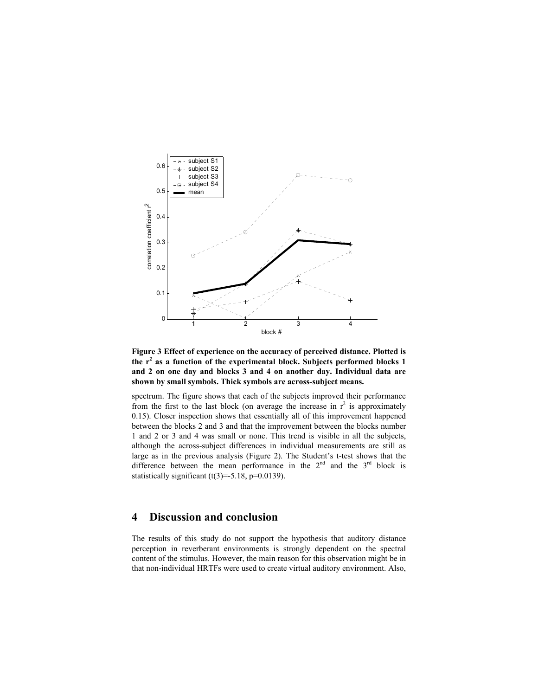



spectrum. The figure shows that each of the subjects improved their performance from the first to the last block (on average the increase in  $r^2$  is approximately 0.15). Closer inspection shows that essentially all of this improvement happened between the blocks 2 and 3 and that the improvement between the blocks number 1 and 2 or 3 and 4 was small or none. This trend is visible in all the subjects, although the across-subject differences in individual measurements are still as large as in the previous analysis (Figure 2). The Student's t-test shows that the difference between the mean performance in the  $2^{nd}$  and the  $3^{rd}$  block is statistically significant  $(t(3)=5.18, p=0.0139)$ .

### **4 Discussion and conclusion**

The results of this study do not support the hypothesis that auditory distance perception in reverberant environments is strongly dependent on the spectral content of the stimulus. However, the main reason for this observation might be in that non-individual HRTFs were used to create virtual auditory environment. Also,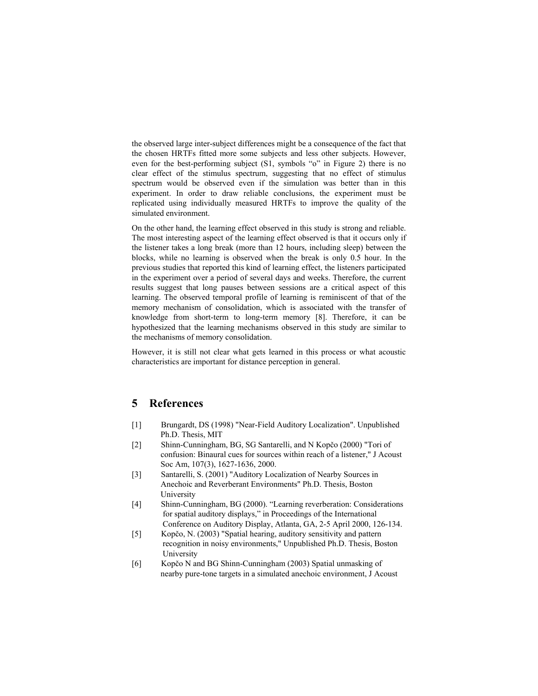the observed large inter-subject differences might be a consequence of the fact that the chosen HRTFs fitted more some subjects and less other subjects. However, even for the best-performing subject (S1, symbols "o" in Figure 2) there is no clear effect of the stimulus spectrum, suggesting that no effect of stimulus spectrum would be observed even if the simulation was better than in this experiment. In order to draw reliable conclusions, the experiment must be replicated using individually measured HRTFs to improve the quality of the simulated environment.

On the other hand, the learning effect observed in this study is strong and reliable. The most interesting aspect of the learning effect observed is that it occurs only if the listener takes a long break (more than 12 hours, including sleep) between the blocks, while no learning is observed when the break is only 0.5 hour. In the previous studies that reported this kind of learning effect, the listeners participated in the experiment over a period of several days and weeks. Therefore, the current results suggest that long pauses between sessions are a critical aspect of this learning. The observed temporal profile of learning is reminiscent of that of the memory mechanism of consolidation, which is associated with the transfer of knowledge from short-term to long-term memory [8]. Therefore, it can be hypothesized that the learning mechanisms observed in this study are similar to the mechanisms of memory consolidation.

However, it is still not clear what gets learned in this process or what acoustic characteristics are important for distance perception in general.

#### **5 References**

- [1] Brungardt, DS (1998) "Near-Field Auditory Localization". Unpublished Ph.D. Thesis, MIT
- [2] Shinn-Cunningham, BG, SG Santarelli, and N Kopčo (2000) "Tori of confusion: Binaural cues for sources within reach of a listener," J Acoust Soc Am, 107(3), 1627-1636, 2000.
- [3] Santarelli, S. (2001) "Auditory Localization of Nearby Sources in Anechoic and Reverberant Environments" Ph.D. Thesis, Boston University
- [4] Shinn-Cunningham, BG (2000). "Learning reverberation: Considerations for spatial auditory displays," in Proceedings of the International Conference on Auditory Display, Atlanta, GA, 2-5 April 2000, 126-134.
- [5] Kopčo, N. (2003) "Spatial hearing, auditory sensitivity and pattern recognition in noisy environments," Unpublished Ph.D. Thesis, Boston University
- [6] Kopčo N and BG Shinn-Cunningham (2003) Spatial unmasking of nearby pure-tone targets in a simulated anechoic environment, J Acoust